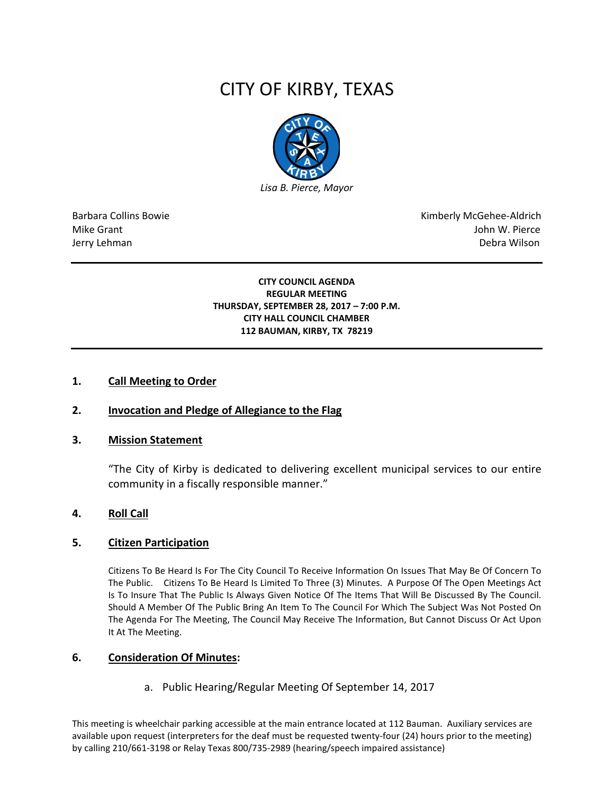# CITY OF KIRBY, TEXAS



Barbara Collins Bowie **Kimberly McGehee-Aldrich** Mike Grant John W. Pierce Jerry Lehman Debra Wilson (2008) and the state of the state of the state of the state of the state of the state of the state of the state of the state of the state of the state of the state of the state of the state of the

#### **CITY COUNCIL AGENDA REGULAR MEETING THURSDAY, SEPTEMBER 28, 2017 – 7:00 P.M. CITY HALL COUNCIL CHAMBER 112 BAUMAN, KIRBY, TX 78219**

#### **1. Call Meeting to Order**

## **2. Invocation and Pledge of Allegiance to the Flag**

#### **3. Mission Statement**

"The City of Kirby is dedicated to delivering excellent municipal services to our entire community in a fiscally responsible manner."

#### **4. Roll Call**

#### **5. Citizen Participation**

Citizens To Be Heard Is For The City Council To Receive Information On Issues That May Be Of Concern To The Public. Citizens To Be Heard Is Limited To Three (3) Minutes. A Purpose Of The Open Meetings Act Is To Insure That The Public Is Always Given Notice Of The Items That Will Be Discussed By The Council. Should A Member Of The Public Bring An Item To The Council For Which The Subject Was Not Posted On The Agenda For The Meeting, The Council May Receive The Information, But Cannot Discuss Or Act Upon It At The Meeting.

#### **6. Consideration Of Minutes:**

a. Public Hearing/Regular Meeting Of September 14, 2017

This meeting is wheelchair parking accessible at the main entrance located at 112 Bauman. Auxiliary services are available upon request (interpreters for the deaf must be requested twenty-four (24) hours prior to the meeting) by calling 210/661-3198 or Relay Texas 800/735-2989 (hearing/speech impaired assistance)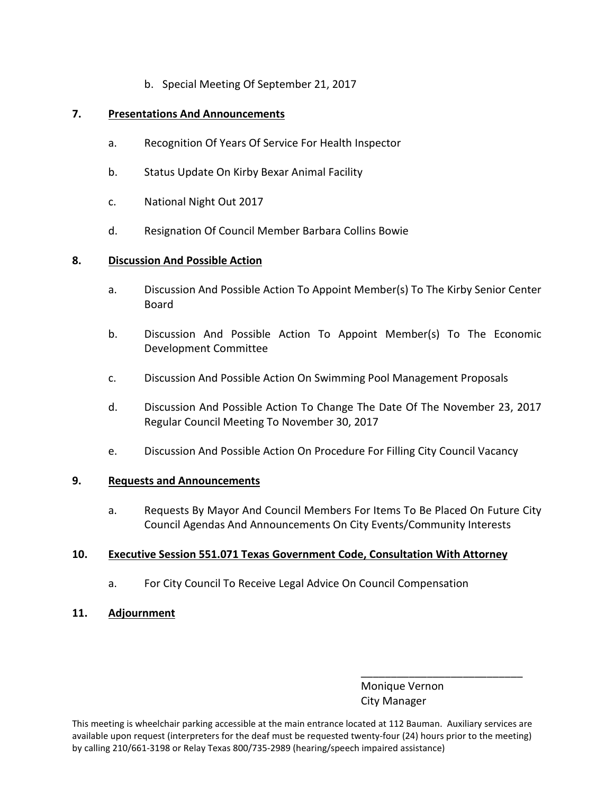b. Special Meeting Of September 21, 2017

## **7. Presentations And Announcements**

- a. Recognition Of Years Of Service For Health Inspector
- b. Status Update On Kirby Bexar Animal Facility
- c. National Night Out 2017
- d. Resignation Of Council Member Barbara Collins Bowie

## **8. Discussion And Possible Action**

- a. Discussion And Possible Action To Appoint Member(s) To The Kirby Senior Center Board
- b. Discussion And Possible Action To Appoint Member(s) To The Economic Development Committee
- c. Discussion And Possible Action On Swimming Pool Management Proposals
- d. Discussion And Possible Action To Change The Date Of The November 23, 2017 Regular Council Meeting To November 30, 2017
- e. Discussion And Possible Action On Procedure For Filling City Council Vacancy

## **9. Requests and Announcements**

a. Requests By Mayor And Council Members For Items To Be Placed On Future City Council Agendas And Announcements On City Events/Community Interests

## **10. Executive Session 551.071 Texas Government Code, Consultation With Attorney**

- a. For City Council To Receive Legal Advice On Council Compensation
- **11. Adjournment**

 Monique Vernon City Manager

\_\_\_\_\_\_\_\_\_\_\_\_\_\_\_\_\_\_\_\_\_\_\_\_\_\_\_